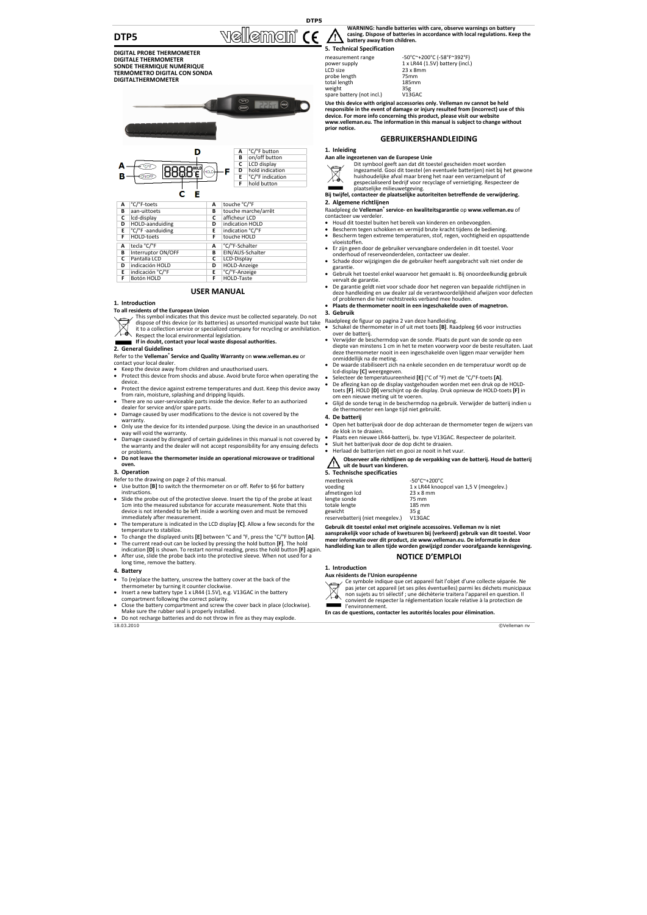# **DTP5**

**DTP5**

T

 $\mathbb{N}$ ellement (f

#### **WARNING: handle batteries with care, observe warnings on battery casing. Dispose of batteries in accordance with local regulations. Keep the battery away from children.**

**5. Technical Specification**

**DIGITAL PROBE THERMOMETER DIGITALE THERMOMETER SONDE THERMIQUE NUMÉRIQUE TERMÓMETRO DIGITAL CON SONDA DIGITALTHERMOMETER**





| tecla °C/°F<br>°C/°F-Schalter |  |  |  |
|-------------------------------|--|--|--|
|                               |  |  |  |
|                               |  |  |  |
|                               |  |  |  |
|                               |  |  |  |
|                               |  |  |  |
|                               |  |  |  |
|                               |  |  |  |

# **USER MANUAL**

## **1. Introduction**

### **To all residents of the European Union**

This symbol indicates that this device must be collected separately. Do not

- dispose of this device (or its batteries) as unsorted municipal waste but take
- it to a collection service or specialized company for recycling or annihilation. ⁄ă Respect the local environmental legislation.

# **If in doubt, contact your local waste disposal authorities.**

**2. General Guidelines**

Refer to the **Velleman® Service and Quality Warranty** on **www.velleman.eu** or contact your local dealer.

- Keep the device away from children and unauthorised users.
- Protect this device from shocks and abuse. Avoid brute force when operating the device.
- Protect the device against extreme temperatures and dust. Keep this device away from rain, moisture, splashing and dripping liquids.
- There are no user‐serviceable parts inside the device. Refer to an authorized dealer for service and/or spare parts.
- Damage caused by user modifications to the device is not covered by the warranty.
- Only use the device for its intended purpose. Using the device in an unauthorised way will void the warranty.
- Damage caused by disregard of certain guidelines in this manual is not covered by the warranty and the dealer will not accept responsibility for any ensuing defects or problems.
- **Do not leave the thermometer inside an operational microwave or traditional oven.**

### **3. Operation**

- Refer to the drawing on page 2 of this manual.
- Use button **[B]** to switch the thermometer on or off. Refer to §6 for battery instructions.
- Slide the probe out of the protective sleeve. Insert the tip of the probe at least 1cm into the measured substance for accurate measurement. Note that this device is not intended to be left inside a working oven and must be removed immediately after measurement.
- The temperature is indicated in the LCD display **[C]**. Allow a few seconds for the temperature to stabilize.
- To change the displayed units **[E]** between °C and °F, press the °C/°F button **[A]**. • The current read‐out can be locked by pressing the hold button **[F]**. The hold
- indication **[D]** is shown. To restart normal reading, press the hold button **[F]** again. After use, slide the probe back into the protective sleeve. When not used for a long time, remove the battery.

### **4. Battery**

- To (re)place the battery, unscrew the battery cover at the back of the thermometer by turning it counter clockwise.
- Insert a new battery type 1 x LR44 (1.5V), e.g. V13GAC in the battery compartment following the correct polarity. • Close the battery compartment and screw the cover back in place (clockwise).
- Make sure the rubber seal is properly installed.
- Do not recharge batteries and do not throw in fire as they may explode.

measurement range ‐50°C~+200°C (‐58°F~392°F) Prover supply<br>
power supply<br>
LCD size 23 x 8n<br>
probe length<br>
25mm probe length <br>total length 185mm<br>185mm total length<br>
weight  $\frac{185}{35g}$ weight 35g spare battery (not incl.) V13GAC

 $\frac{1}{2}$  x LR44 (1.5V) battery (incl.)

**Use this device with original accessories only. Velleman nv cannot be held responsible in the event of damage or injury resulted from (incorrect) use of this device. For more info concerning this product, please visit our website www.velleman.eu. The information in this manual is subject to change without prior notice.**

## **GEBRUIKERSHANDLEIDING**

## **1. Inleiding**



**Aan alle ingezetenen van de Europese Unie**

- Dit symbool geeft aan dat dit toestel gescheiden moet worden ingezameld. Gooi dit toestel (en eventuele batterijen) niet bij het gewone huishoudelijke afval maar breng het naar een verzamelpunt of
- gespecialiseerd bedrijf voor recyclage of vernietiging. Respecteer de plaatselijke milieuwetgeving.

### **Bij twijfel, contacteer de plaatselijke autoriteiten betreffende de verwijdering. 2. Algemene richtlijnen**

#### Raadpleeg de **Velleman® service‐ en kwaliteitsgarantie** op **www.velleman.eu** of contacteer uw verdeler.

- Houd dit toestel buiten het bereik van kinderen en onbevoegden.
- Bescherm tegen schokken en vermijd brute kracht tijdens de bediening. • Bescherm tegen extreme temperaturen, stof, regen, vochtigheid en opspattende
- vloeistoffen.
- Er zijn geen door de gebruiker vervangbare onderdelen in dit toestel. Voor onderhoud of reserveonderdelen, contacteer uw dealer.
- Schade door wijzigingen die de gebruiker heeft aangebracht valt niet onder de garantie.
- Gebruik het toestel enkel waarvoor het gemaakt is. Bij onoordeelkundig gebruik vervalt de garantie.
- De garantie geldt niet voor schade door het negeren van bepaalde richtlijnen in deze handleiding en uw dealer zal de verantwoordelijkheid afwijzen voor defecten of problemen die hier rechtstreeks verband mee houden.
- **Plaats de thermometer nooit in een ingeschakelde oven of magnetron.**

### **3. Gebruik**

- Raadpleeg de figuur op pagina 2 van deze handleiding.<br>A Schakel de thermometer in of uit met toets [8], Pas
- Schakel de thermometer in of uit met toets **[B]**. Raadpleeg §6 voor instructies over de batterij.
- Verwijder de beschermdop van de sonde. Plaats de punt van de sonde op een diepte van minstens 1 cm in het te meten voorwerp voor de beste resultaten. Laat deze thermometer nooit in een ingeschakelde oven liggen maar verwijder hem
- onmiddellijk na de meting. De waarde stabiliseert zich na enkele seconden en de temperatuur wordt op de lcd‐display **[C]** weergegeven.
- Selecteer de temperatuureenheid **[E]** (°C of °F) met de °C/°F‐toets **[A]**.
- De aflezing kan op de display vastgehouden worden met een druk op de HOLD‐ toets **[F]**. HOLD **[D]** verschijnt op de display. Druk opnieuw de HOLD‐toets **[F]** in om een nieuwe meting uit te voeren.
- Glijd de sonde terug in de beschermdop na gebruik. Verwijder de batterij indien u de thermometer een lange tijd niet gebruikt.
- **4. De batterij**
- Open het batterijvak door de dop achteraan de thermometer tegen de wijzers van de klok in te draaien.
- Plaats een nieuwe LR44‐batterij, bv. type V13GAC. Respecteer de polariteit.
- Sluit het batterijvak door de dop dicht te draaien.
- Herlaad de batterijen niet en gooi ze nooit in het vuur.

### **Observeer alle richtlijnen op de verpakking van de batterij. Houd de batterij uit de buurt van kinderen.**

## **5. Technische specificaties**

| -50°C~+200°C                            |
|-----------------------------------------|
| 1 x LR44 knoopcel van 1,5 V (meegelev.) |
| $23 \times 8$ mm                        |
| 75 mm                                   |
| 185 mm                                  |
| 35 g                                    |
| V13GAC                                  |
|                                         |

Gebruik dit toestel enkel met originele accessoires. Velleman nv is niet<br>aansprakelijk voor schade of kwetsuren bij (verkeerd) gebruik van dit toestel. Vooı **meer informatie over dit product, zie www.velleman.eu. De informatie in deze handleiding kan te allen tijde worden gewijzigd zonder voorafgaande kennisgeving.**

# **NOTICE D'EMPLOI**

# **1. Introduction**

**Aux résidents de l'Union européenne**

Ce symbole indique que cet appareil fait l'objet d'une collecte séparée. Ne pas jeter cet appareil (et ses piles éventuelles) parmi les déchets municipaux

non sujets au tri sélectif ; une déchèterie traitera l'appareil en question. Il convient de respecter la réglementation locale relative à la protection de l'environnement.

**En cas de questions, contacter les autorités locales pour élimination.**